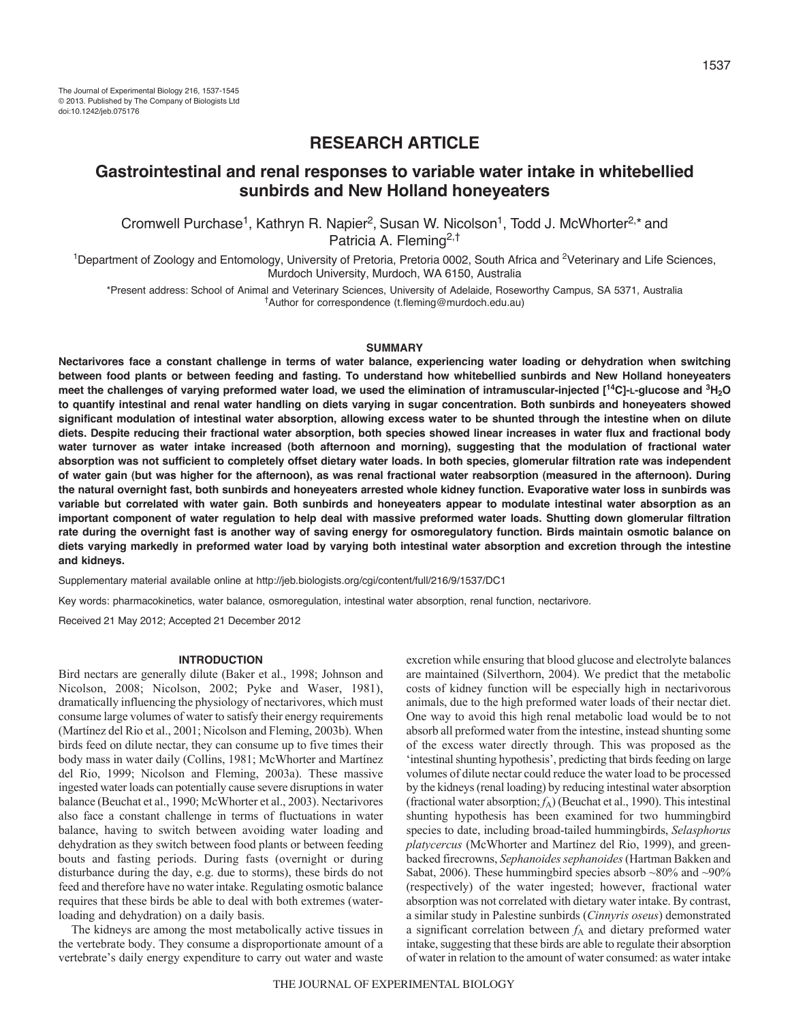# **RESEARCH ARTICLE**

# **Gastrointestinal and renal responses to variable water intake in whitebellied sunbirds and New Holland honeyeaters**

Cromwell Purchase<sup>1</sup>, Kathryn R. Napier<sup>2</sup>, Susan W. Nicolson<sup>1</sup>, Todd J. McWhorter<sup>2,\*</sup> and Patricia A. Fleming<sup>2,†</sup>

<sup>1</sup>Department of Zoology and Entomology, University of Pretoria, Pretoria 0002, South Africa and <sup>2</sup>Veterinary and Life Sciences, Murdoch University, Murdoch, WA 6150, Australia

\*Present address: School of Animal and Veterinary Sciences, University of Adelaide, Roseworthy Campus, SA 5371, Australia †Author for correspondence (t.fleming@murdoch.edu.au)

# **SUMMARY**

**Nectarivores face a constant challenge in terms of water balance, experiencing water loading or dehydration when switching between food plants or between feeding and fasting. To understand how whitebellied sunbirds and New Holland honeyeaters meet the challenges of varying preformed water load, we used the elimination of intramuscular-injected [14C]-L-glucose and 3H2O to quantify intestinal and renal water handling on diets varying in sugar concentration. Both sunbirds and honeyeaters showed significant modulation of intestinal water absorption, allowing excess water to be shunted through the intestine when on dilute diets. Despite reducing their fractional water absorption, both species showed linear increases in water flux and fractional body water turnover as water intake increased (both afternoon and morning), suggesting that the modulation of fractional water absorption was not sufficient to completely offset dietary water loads. In both species, glomerular filtration rate was independent of water gain (but was higher for the afternoon), as was renal fractional water reabsorption (measured in the afternoon). During the natural overnight fast, both sunbirds and honeyeaters arrested whole kidney function. Evaporative water loss in sunbirds was variable but correlated with water gain. Both sunbirds and honeyeaters appear to modulate intestinal water absorption as an important component of water regulation to help deal with massive preformed water loads. Shutting down glomerular filtration rate during the overnight fast is another way of saving energy for osmoregulatory function. Birds maintain osmotic balance on diets varying markedly in preformed water load by varying both intestinal water absorption and excretion through the intestine and kidneys.**

Supplementary material available online at http://jeb.biologists.org/cgi/content/full/216/9/1537/DC1

Key words: pharmacokinetics, water balance, osmoregulation, intestinal water absorption, renal function, nectarivore.

Received 21 May 2012; Accepted 21 December 2012

#### **INTRODUCTION**

Bird nectars are generally dilute (Baker et al., 1998; Johnson and Nicolson, 2008; Nicolson, 2002; Pyke and Waser, 1981), dramatically influencing the physiology of nectarivores, which must consume large volumes of water to satisfy their energy requirements (Martínez del Rio et al., 2001; Nicolson and Fleming, 2003b). When birds feed on dilute nectar, they can consume up to five times their body mass in water daily (Collins, 1981; McWhorter and Martínez del Rio, 1999; Nicolson and Fleming, 2003a). These massive ingested water loads can potentially cause severe disruptions in water balance (Beuchat et al., 1990; McWhorter et al., 2003). Nectarivores also face a constant challenge in terms of fluctuations in water balance, having to switch between avoiding water loading and dehydration as they switch between food plants or between feeding bouts and fasting periods. During fasts (overnight or during disturbance during the day, e.g. due to storms), these birds do not feed and therefore have no water intake. Regulating osmotic balance requires that these birds be able to deal with both extremes (waterloading and dehydration) on a daily basis.

The kidneys are among the most metabolically active tissues in the vertebrate body. They consume a disproportionate amount of a vertebrate's daily energy expenditure to carry out water and waste excretion while ensuring that blood glucose and electrolyte balances are maintained (Silverthorn, 2004). We predict that the metabolic costs of kidney function will be especially high in nectarivorous animals, due to the high preformed water loads of their nectar diet. One way to avoid this high renal metabolic load would be to not absorb all preformed water from the intestine, instead shunting some of the excess water directly through. This was proposed as the 'intestinal shunting hypothesis', predicting that birds feeding on large volumes of dilute nectar could reduce the water load to be processed by the kidneys (renal loading) by reducing intestinal water absorption (fractional water absorption; *f*A) (Beuchat et al., 1990). This intestinal shunting hypothesis has been examined for two hummingbird species to date, including broad-tailed hummingbirds, *Selasphorus platycercus* (McWhorter and Martínez del Rio, 1999), and greenbacked firecrowns, *Sephanoides sephanoides*(Hartman Bakken and Sabat, 2006). These hummingbird species absorb  $\sim 80\%$  and  $\sim 90\%$ (respectively) of the water ingested; however, fractional water absorption was not correlated with dietary water intake. By contrast, a similar study in Palestine sunbirds (*Cinnyris oseus*) demonstrated a significant correlation between  $f_A$  and dietary preformed water intake, suggesting that these birds are able to regulate their absorption of water in relation to the amount of water consumed: as water intake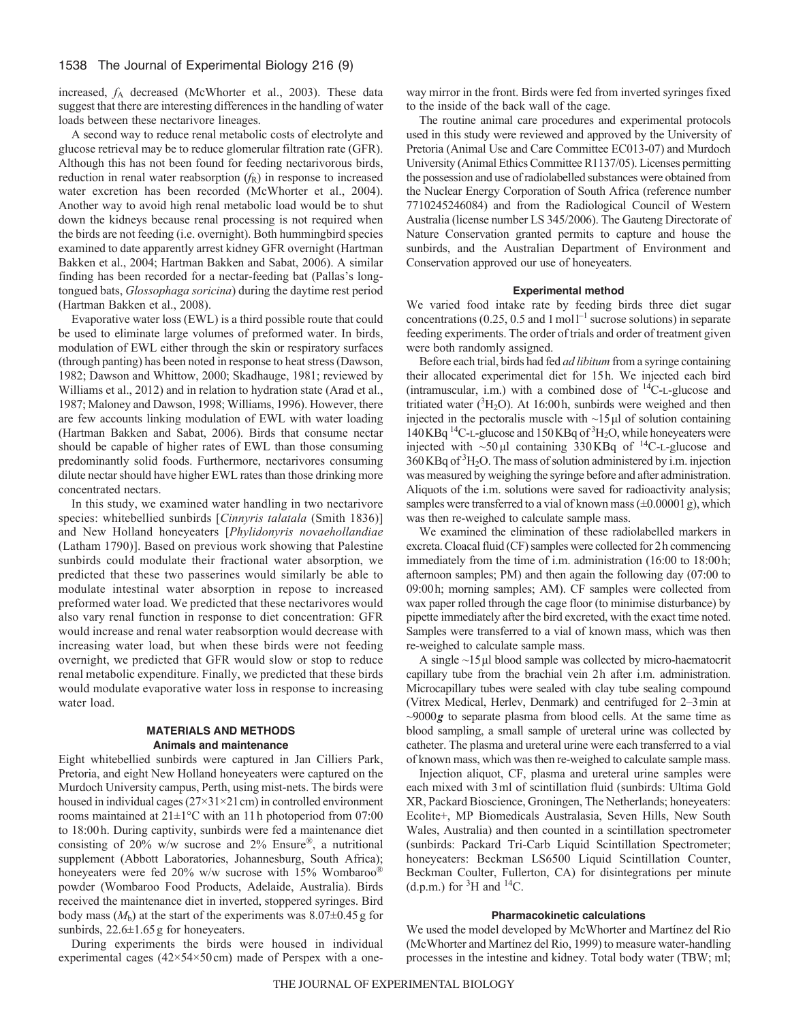increased, *f*<sup>A</sup> decreased (McWhorter et al., 2003). These data suggest that there are interesting differences in the handling of water loads between these nectarivore lineages.

A second way to reduce renal metabolic costs of electrolyte and glucose retrieval may be to reduce glomerular filtration rate (GFR). Although this has not been found for feeding nectarivorous birds, reduction in renal water reabsorption  $(f_R)$  in response to increased water excretion has been recorded (McWhorter et al., 2004). Another way to avoid high renal metabolic load would be to shut down the kidneys because renal processing is not required when the birds are not feeding (i.e. overnight). Both hummingbird species examined to date apparently arrest kidney GFR overnight (Hartman Bakken et al., 2004; Hartman Bakken and Sabat, 2006). A similar finding has been recorded for a nectar-feeding bat (Pallas's longtongued bats, *Glossophaga soricina*) during the daytime rest period (Hartman Bakken et al., 2008).

Evaporative water loss (EWL) is a third possible route that could be used to eliminate large volumes of preformed water. In birds, modulation of EWL either through the skin or respiratory surfaces (through panting) has been noted in response to heat stress (Dawson, 1982; Dawson and Whittow, 2000; Skadhauge, 1981; reviewed by Williams et al., 2012) and in relation to hydration state (Arad et al., 1987; Maloney and Dawson, 1998; Williams, 1996). However, there are few accounts linking modulation of EWL with water loading (Hartman Bakken and Sabat, 2006). Birds that consume nectar should be capable of higher rates of EWL than those consuming predominantly solid foods. Furthermore, nectarivores consuming dilute nectar should have higher EWL rates than those drinking more concentrated nectars.

In this study, we examined water handling in two nectarivore species: whitebellied sunbirds [*Cinnyris talatala* (Smith 1836)] and New Holland honeyeaters [*Phylidonyris novaehollandiae* (Latham 1790)]. Based on previous work showing that Palestine sunbirds could modulate their fractional water absorption, we predicted that these two passerines would similarly be able to modulate intestinal water absorption in repose to increased preformed water load. We predicted that these nectarivores would also vary renal function in response to diet concentration: GFR would increase and renal water reabsorption would decrease with increasing water load, but when these birds were not feeding overnight, we predicted that GFR would slow or stop to reduce renal metabolic expenditure. Finally, we predicted that these birds would modulate evaporative water loss in response to increasing water load.

# **MATERIALS AND METHODS Animals and maintenance**

Eight whitebellied sunbirds were captured in Jan Cilliers Park, Pretoria, and eight New Holland honeyeaters were captured on the Murdoch University campus, Perth, using mist-nets. The birds were housed in individual cages (27×31×21 cm) in controlled environment rooms maintained at 21±1°C with an 11h photoperiod from 07:00 to 18:00h. During captivity, sunbirds were fed a maintenance diet consisting of 20% w/w sucrose and 2% Ensure®, a nutritional supplement (Abbott Laboratories, Johannesburg, South Africa); honeyeaters were fed 20% w/w sucrose with 15% Wombaroo® powder (Wombaroo Food Products, Adelaide, Australia). Birds received the maintenance diet in inverted, stoppered syringes. Bird body mass  $(M_b)$  at the start of the experiments was  $8.07\pm0.45$  g for sunbirds,  $22.6 \pm 1.65$  g for honeyeaters.

During experiments the birds were housed in individual experimental cages (42×54×50cm) made of Perspex with a oneway mirror in the front. Birds were fed from inverted syringes fixed to the inside of the back wall of the cage.

The routine animal care procedures and experimental protocols used in this study were reviewed and approved by the University of Pretoria (Animal Use and Care Committee EC013-07) and Murdoch University (Animal Ethics Committee R1137/05). Licenses permitting the possession and use of radiolabelled substances were obtained from the Nuclear Energy Corporation of South Africa (reference number 7710245246084) and from the Radiological Council of Western Australia (license number LS 345/2006). The Gauteng Directorate of Nature Conservation granted permits to capture and house the sunbirds, and the Australian Department of Environment and Conservation approved our use of honeyeaters.

### **Experimental method**

We varied food intake rate by feeding birds three diet sugar concentrations (0.25, 0.5 and 1 mol  $l^{-1}$  sucrose solutions) in separate feeding experiments. The order of trials and order of treatment given were both randomly assigned.

Before each trial, birds had fed *ad libitum* from a syringe containing their allocated experimental diet for 15h. We injected each bird (intramuscular, i.m.) with a combined dose of  ${}^{14}C$ -L-glucose and tritiated water  $(^{3}H_{2}O)$ . At 16:00 h, sunbirds were weighed and then injected in the pectoralis muscle with  $\sim$ 15 μl of solution containing 140 KBq<sup>14</sup>C-L-glucose and 150 KBq of <sup>3</sup>H<sub>2</sub>O, while honeyeaters were injected with  $\sim$ 50 µl containing 330 KBq of <sup>14</sup>C-L-glucose and 360KBq of 3 H2O. The mass of solution administered by i.m. injection was measured by weighing the syringe before and after administration. Aliquots of the i.m. solutions were saved for radioactivity analysis; samples were transferred to a vial of known mass  $(\pm 0.00001 \text{ g})$ , which was then re-weighed to calculate sample mass.

We examined the elimination of these radiolabelled markers in excreta. Cloacal fluid (CF) samples were collected for 2h commencing immediately from the time of i.m. administration (16:00 to 18:00h; afternoon samples; PM) and then again the following day (07:00 to 09:00h; morning samples; AM). CF samples were collected from wax paper rolled through the cage floor (to minimise disturbance) by pipette immediately after the bird excreted, with the exact time noted. Samples were transferred to a vial of known mass, which was then re-weighed to calculate sample mass.

A single ~15μl blood sample was collected by micro-haematocrit capillary tube from the brachial vein 2h after i.m. administration. Microcapillary tubes were sealed with clay tube sealing compound (Vitrex Medical, Herlev, Denmark) and centrifuged for 2–3min at ~9000*g* to separate plasma from blood cells. At the same time as blood sampling, a small sample of ureteral urine was collected by catheter. The plasma and ureteral urine were each transferred to a vial of known mass, which was then re-weighed to calculate sample mass.

Injection aliquot, CF, plasma and ureteral urine samples were each mixed with 3ml of scintillation fluid (sunbirds: Ultima Gold XR, Packard Bioscience, Groningen, The Netherlands; honeyeaters: Ecolite+, MP Biomedicals Australasia, Seven Hills, New South Wales, Australia) and then counted in a scintillation spectrometer (sunbirds: Packard Tri-Carb Liquid Scintillation Spectrometer; honeyeaters: Beckman LS6500 Liquid Scintillation Counter, Beckman Coulter, Fullerton, CA) for disintegrations per minute (d.p.m.) for  ${}^{3}$ H and  ${}^{14}$ C.

#### **Pharmacokinetic calculations**

We used the model developed by McWhorter and Martínez del Rio (McWhorter and Martínez del Rio, 1999) to measure water-handling processes in the intestine and kidney. Total body water (TBW; ml;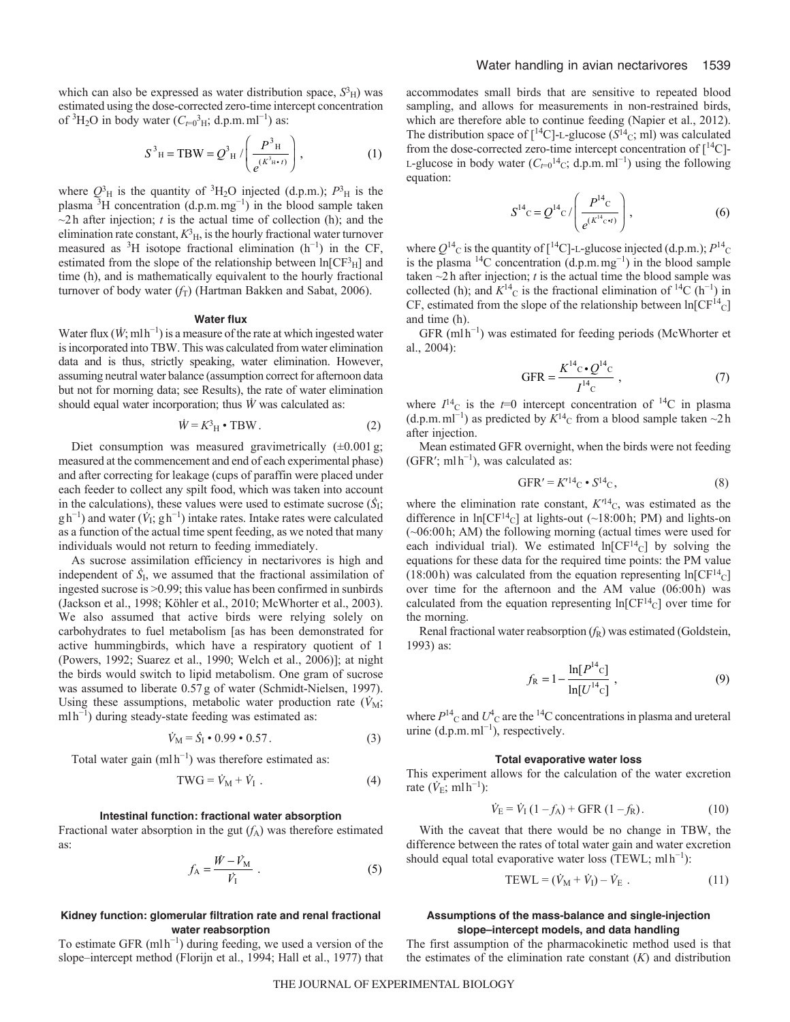which can also be expressed as water distribution space,  $S<sup>3</sup>H$ ) was estimated using the dose-corrected zero-time intercept concentration of <sup>3</sup>H<sub>2</sub>O in body water ( $C_{t=0}^{3}$ <sub>H</sub>; d.p.m.ml<sup>-1</sup>) as:

$$
S^{3} H = TBW = Q^{3} H / \left( \frac{P^{3} H}{e^{(K^{3} H \cdot t)}} \right),
$$
 (1)

where  $Q_{\rm H}^3$  is the quantity of <sup>3</sup>H<sub>2</sub>O injected (d.p.m.);  $P_{\rm H}^3$  is the plasma  ${}^{3}$ H concentration (d.p.m.mg<sup>-1</sup>) in the blood sample taken  $\sim$ 2h after injection; *t* is the actual time of collection (h); and the elimination rate constant,  $K_{\rm H}^3$ , is the hourly fractional water turnover measured as <sup>3</sup>H isotope fractional elimination  $(h^{-1})$  in the CF, estimated from the slope of the relationship between  $ln[CF<sup>3</sup><sub>H</sub>]$  and time (h), and is mathematically equivalent to the hourly fractional turnover of body water  $(f_T)$  (Hartman Bakken and Sabat, 2006).

#### **Water flux**

Water flux  $(\dot{W}$ ; mlh<sup>-1</sup>) is a measure of the rate at which ingested water is incorporated into TBW. This was calculated from water elimination data and is thus, strictly speaking, water elimination. However, assuming neutral water balance (assumption correct for afternoon data but not for morning data; see Results), the rate of water elimination should equal water incorporation; thus *W* was calculated as:

$$
\dot{W} = K^3_{\rm H} \cdot \text{TBW} \,. \tag{2}
$$

Diet consumption was measured gravimetrically  $(\pm 0.001 \text{ g})$ ; measured at the commencement and end of each experimental phase) and after correcting for leakage (cups of paraffin were placed under each feeder to collect any spilt food, which was taken into account in the calculations), these values were used to estimate sucrose  $(\dot{S}_{\rm I};$ gh<sup>-1</sup>) and water ( $\dot{V}_1$ ; gh<sup>-1</sup>) intake rates. Intake rates were calculated as a function of the actual time spent feeding, as we noted that many individuals would not return to feeding immediately.

As sucrose assimilation efficiency in nectarivores is high and independent of  $\dot{S}_{I}$ , we assumed that the fractional assimilation of ingested sucrose is >0.99; this value has been confirmed in sunbirds (Jackson et al., 1998; Köhler et al., 2010; McWhorter et al., 2003). We also assumed that active birds were relying solely on carbohydrates to fuel metabolism [as has been demonstrated for active hummingbirds, which have a respiratory quotient of 1 (Powers, 1992; Suarez et al., 1990; Welch et al., 2006)]; at night the birds would switch to lipid metabolism. One gram of sucrose was assumed to liberate 0.57g of water (Schmidt-Nielsen, 1997). Using these assumptions, metabolic water production rate  $(V_M;$ mlh<sup>-1</sup>) during steady-state feeding was estimated as:

$$
\dot{V}_{\rm M} = \dot{S}_{\rm I} \cdot 0.99 \cdot 0.57 \,. \tag{3}
$$

Total water gain  $(mlh^{-1})$  was therefore estimated as:

$$
TWG = \dot{V}_{M} + \dot{V}_{I} . \tag{4}
$$

#### **Intestinal function: fractional water absorption**

Fractional water absorption in the gut  $(f_A)$  was therefore estimated as:

$$
f_{\rm A} = \frac{\dot{W} - \dot{V}_{\rm M}}{\dot{V}_{\rm I}} \tag{5}
$$

## **Kidney function: glomerular filtration rate and renal fractional water reabsorption**

To estimate GFR  $(mlh^{-1})$  during feeding, we used a version of the slope–intercept method (Florijn et al., 1994; Hall et al., 1977) that accommodates small birds that are sensitive to repeated blood sampling, and allows for measurements in non-restrained birds, which are therefore able to continue feeding (Napier et al., 2012). The distribution space of  $\lceil {^{14}C} \rceil$ -L-glucose ( $S^{14}$ c; ml) was calculated from the dose-corrected zero-time intercept concentration of  $\lceil {}^{14}C \rceil$ -L-glucose in body water  $(C_{t=0}^{14}c; d.p.m.m^{-1}]$  using the following equation:

$$
S^{14}C = Q^{14}C / \left(\frac{P^{14}C}{e^{(K^{14}C^{4}t)}}\right),
$$
 (6)

where  $Q^{14}$ <sub>C</sub> is the quantity of [<sup>14</sup>C]-L-glucose injected (d.p.m.);  $P^{14}$ <sub>C</sub> is the plasma  $14C$  concentration (d.p.m.mg<sup>-1</sup>) in the blood sample taken  $\sim$ 2h after injection; *t* is the actual time the blood sample was collected (h); and  $K^{14}$ <sub>C</sub> is the fractional elimination of <sup>14</sup>C (h<sup>-1</sup>) in CF, estimated from the slope of the relationship between  $ln[CF^{14}C]$ and time (h).

GFR (mlh<sup>−</sup><sup>1</sup> ) was estimated for feeding periods (McWhorter et al., 2004):

$$
GFR = \frac{K^{14}c \cdot Q^{14}c}{I^{14}c} \,, \tag{7}
$$

where  $I^{14}$ C is the  $t=0$  intercept concentration of <sup>14</sup>C in plasma (d.p.m. ml<sup>-1</sup>) as predicted by  $K^{14}$ <sub>C</sub> from a blood sample taken ~2h after injection.

Mean estimated GFR overnight, when the birds were not feeding  $(GFR'; m1h^{-1})$ , was calculated as:

$$
GFR' = K'^{14}C \cdot S^{14}C, \qquad (8)
$$

where the elimination rate constant,  $K'^{14}$ <sub>C</sub>, was estimated as the difference in  $ln[CF^{14}C]$  at lights-out (~18:00 h; PM) and lights-on (~06:00h; AM) the following morning (actual times were used for each individual trial). We estimated  $ln[CF<sup>14</sup>C]$  by solving the equations for these data for the required time points: the PM value (18:00h) was calculated from the equation representing  $ln[CF^{14}C]$ over time for the afternoon and the AM value (06:00h) was calculated from the equation representing  $ln[CF^{14}C]$  over time for the morning.

Renal fractional water reabsorption (*f*R) was estimated (Goldstein, 1993) as:

$$
f_{\rm R} = 1 - \frac{\ln[P^{\rm 14}c]}{\ln[U^{\rm 14}c]},
$$
\n(9)

where  $P^{14}$ <sub>C</sub> and  $U^4$ <sub>C</sub> are the <sup>14</sup>C concentrations in plasma and ureteral urine  $(d.p.m.m<sup>-1</sup>)$ , respectively.

#### **Total evaporative water loss**

This experiment allows for the calculation of the water excretion rate  $(\dot{V}_{E}$ ; ml h<sup>-1</sup>):

$$
\dot{V}_{\rm E} = \dot{V}_{\rm I} (1 - f_{\rm A}) + \text{GFR} (1 - f_{\rm R}). \tag{10}
$$

With the caveat that there would be no change in TBW, the difference between the rates of total water gain and water excretion should equal total evaporative water loss (TEWL; mlh<sup>-1</sup>):

$$
TEWL = (\dot{V}_{M} + \dot{V}_{I}) - \dot{V}_{E} .
$$
 (11)

## **Assumptions of the mass-balance and single-injection slope–intercept models, and data handling**

The first assumption of the pharmacokinetic method used is that the estimates of the elimination rate constant (*K*) and distribution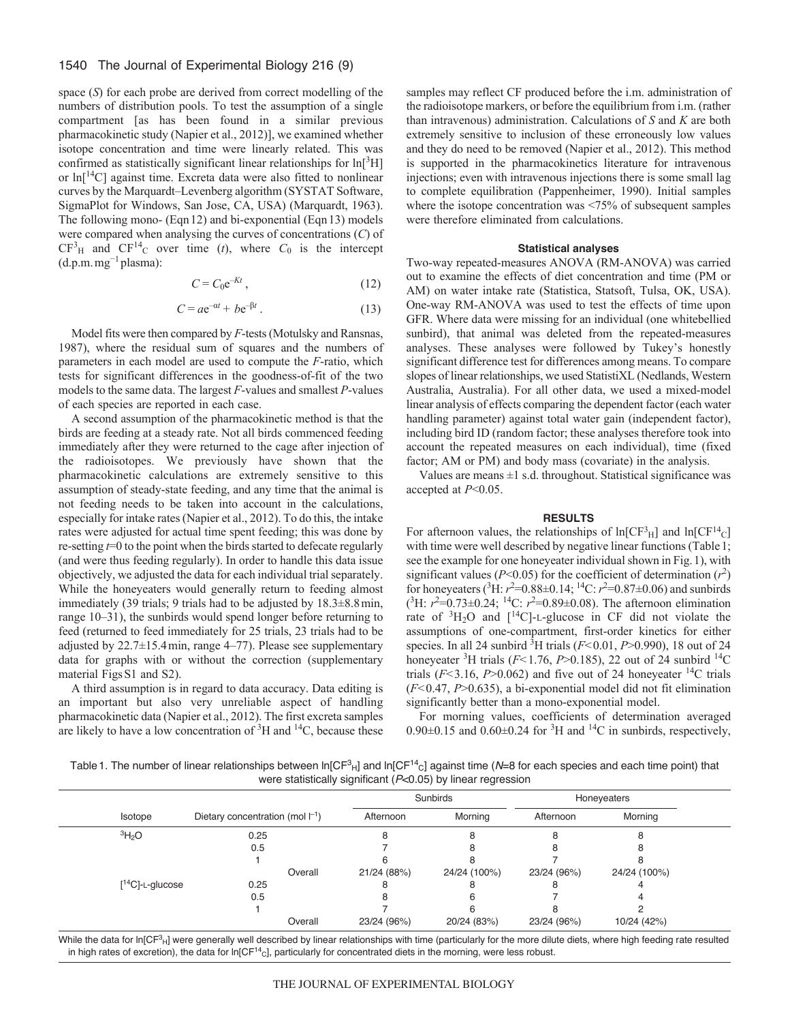space (*S*) for each probe are derived from correct modelling of the numbers of distribution pools. To test the assumption of a single compartment [as has been found in a similar previous pharmacokinetic study (Napier et al., 2012)], we examined whether isotope concentration and time were linearly related. This was confirmed as statistically significant linear relationships for  $ln[<sup>3</sup>H]$ or  $\ln \frac{14}{C}$  against time. Excreta data were also fitted to nonlinear curves by the Marquardt–Levenberg algorithm (SYSTAT Software, SigmaPlot for Windows, San Jose, CA, USA) (Marquardt, 1963). The following mono- (Eqn12) and bi-exponential (Eqn13) models were compared when analysing the curves of concentrations (*C*) of  $CF<sup>3</sup>H$  and  $CF<sup>14</sup>C$  over time (*t*), where  $C_0$  is the intercept  $(d.p.m.m.g<sup>-1</sup> plasma):$ 

$$
C = C_0 e^{-Kt},\tag{12}
$$

$$
C = ae^{-\alpha t} + be^{-\beta t}.
$$
 (13)

Model fits were then compared by *F*-tests (Motulsky and Ransnas, 1987), where the residual sum of squares and the numbers of parameters in each model are used to compute the *F*-ratio, which tests for significant differences in the goodness-of-fit of the two models to the same data. The largest *F*-values and smallest *P*-values of each species are reported in each case.

A second assumption of the pharmacokinetic method is that the birds are feeding at a steady rate. Not all birds commenced feeding immediately after they were returned to the cage after injection of the radioisotopes. We previously have shown that the pharmacokinetic calculations are extremely sensitive to this assumption of steady-state feeding, and any time that the animal is not feeding needs to be taken into account in the calculations, especially for intake rates (Napier et al., 2012). To do this, the intake rates were adjusted for actual time spent feeding; this was done by re-setting *t*=0 to the point when the birds started to defecate regularly (and were thus feeding regularly). In order to handle this data issue objectively, we adjusted the data for each individual trial separately. While the honeyeaters would generally return to feeding almost immediately (39 trials; 9 trials had to be adjusted by 18.3±8.8min, range 10–31), the sunbirds would spend longer before returning to feed (returned to feed immediately for 25 trials, 23 trials had to be adjusted by 22.7±15.4min, range 4–77). Please see supplementary data for graphs with or without the correction (supplementary material Figs S1 and S2).

A third assumption is in regard to data accuracy. Data editing is an important but also very unreliable aspect of handling pharmacokinetic data (Napier et al., 2012). The first excreta samples are likely to have a low concentration of  ${}^{3}H$  and  ${}^{14}C$ , because these samples may reflect CF produced before the i.m. administration of the radioisotope markers, or before the equilibrium from i.m. (rather than intravenous) administration. Calculations of *S* and *K* are both extremely sensitive to inclusion of these erroneously low values and they do need to be removed (Napier et al., 2012). This method is supported in the pharmacokinetics literature for intravenous injections; even with intravenous injections there is some small lag to complete equilibration (Pappenheimer, 1990). Initial samples where the isotope concentration was <75% of subsequent samples were therefore eliminated from calculations.

## **Statistical analyses**

Two-way repeated-measures ANOVA (RM-ANOVA) was carried out to examine the effects of diet concentration and time (PM or AM) on water intake rate (Statistica, Statsoft, Tulsa, OK, USA). One-way RM-ANOVA was used to test the effects of time upon GFR. Where data were missing for an individual (one whitebellied sunbird), that animal was deleted from the repeated-measures analyses. These analyses were followed by Tukey's honestly significant difference test for differences among means. To compare slopes of linear relationships, we used StatistiXL (Nedlands, Western Australia, Australia). For all other data, we used a mixed-model linear analysis of effects comparing the dependent factor (each water handling parameter) against total water gain (independent factor), including bird ID (random factor; these analyses therefore took into account the repeated measures on each individual), time (fixed factor; AM or PM) and body mass (covariate) in the analysis.

Values are means  $\pm 1$  s.d. throughout. Statistical significance was accepted at *P*<0.05.

## **RESULTS**

For afternoon values, the relationships of  $ln[CF<sup>3</sup><sub>H</sub>]$  and  $ln[CF<sup>14</sup><sub>C</sub>]$ with time were well described by negative linear functions (Table 1; see the example for one honeyeater individual shown in Fig.1), with significant values ( $P < 0.05$ ) for the coefficient of determination ( $r<sup>2</sup>$ ) for honeyeaters (<sup>3</sup>H:  $r^2$ =0.88±0.14; <sup>14</sup>C:  $r^2$ =0.87±0.06) and sunbirds  $(^{3}$ H:  $r^{2}=0.73\pm0.24$ ; <sup>14</sup>C:  $r^{2}=0.89\pm0.08$ ). The afternoon elimination rate of  ${}^{3}H_{2}O$  and  $[{}^{14}C]$ -L-glucose in CF did not violate the assumptions of one-compartment, first-order kinetics for either species. In all 24 sunbird  ${}^{3}$ H trials ( $F$ <0.01,  $P$ >0.990), 18 out of 24 honeyeater <sup>3</sup>H trials ( $F$ <1.76,  $P$ >0.185), 22 out of 24 sunbird <sup>14</sup>C trials  $(F<3.16, P>0.062)$  and five out of 24 honeyeater <sup>14</sup>C trials (*F<*0.47, *P*>0.635), a bi-exponential model did not fit elimination significantly better than a mono-exponential model.

For morning values, coefficients of determination averaged  $0.90\pm0.15$  and  $0.60\pm0.24$  for <sup>3</sup>H and <sup>14</sup>C in sunbirds, respectively,

Table 1. The number of linear relationships between In[CF<sup>3</sup><sub>H</sub>] and In[CF<sup>14</sup>c] against time (*N*=8 for each species and each time point) that were statistically significant (*P*<0.05) by linear regression

|                       |                                       | Sunbirds    |              | Honeyeaters |              |  |
|-----------------------|---------------------------------------|-------------|--------------|-------------|--------------|--|
| Isotope               | Dietary concentration (mol $ ^{-1}$ ) | Afternoon   | Morning      | Afternoon   | Morning      |  |
| $\rm{^{3}H_{2}O}$     | 0.25                                  |             |              |             |              |  |
|                       | 0.5                                   |             |              |             |              |  |
|                       |                                       |             |              |             |              |  |
|                       | Overall                               | 21/24 (88%) | 24/24 (100%) | 23/24 (96%) | 24/24 (100%) |  |
| $[^{14}C]$ -L-glucose | 0.25                                  |             |              |             |              |  |
|                       | 0.5                                   |             |              |             |              |  |
|                       |                                       |             |              |             |              |  |
|                       | Overall                               | 23/24 (96%) | 20/24 (83%)  | 23/24 (96%) | 10/24 (42%)  |  |

While the data for In[CF<sup>3</sup><sub>H</sub>] were generally well described by linear relationships with time (particularly for the more dilute diets, where high feeding rate resulted in high rates of excretion), the data for ln[CF<sup>14</sup>c], particularly for concentrated diets in the morning, were less robust.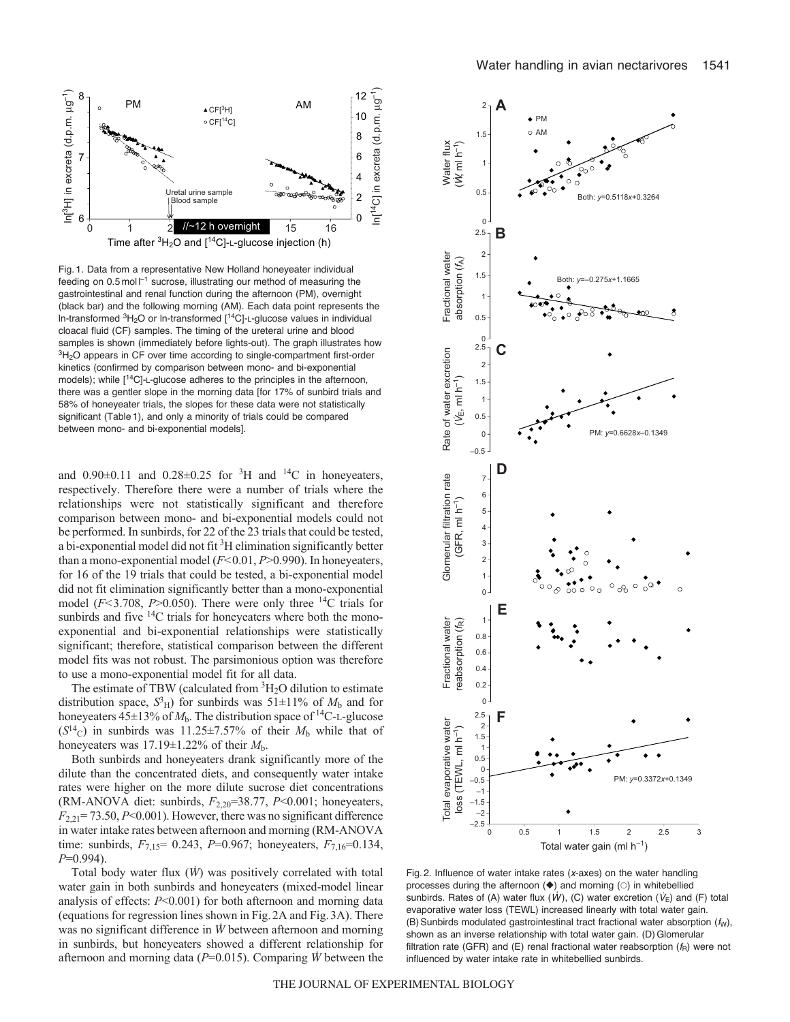

Fig. 1. Data from a representative New Holland honeyeater individual feeding on 0.5 mol  $l^{-1}$  sucrose, illustrating our method of measuring the gastrointestinal and renal function during the afternoon (PM), overnight (black bar) and the following morning (AM). Each data point represents the In-transformed  ${}^{3}$ H<sub>2</sub>O or In-transformed [<sup>14</sup>C]-L-glucose values in individual cloacal fluid (CF) samples. The timing of the ureteral urine and blood samples is shown (immediately before lights-out). The graph illustrates how <sup>3</sup>H<sub>2</sub>O appears in CF over time according to single-compartment first-order kinetics (confirmed by comparison between mono- and bi-exponential models); while [<sup>14</sup>C]-L-glucose adheres to the principles in the afternoon, there was a gentler slope in the morning data [for 17% of sunbird trials and 58% of honeyeater trials, the slopes for these data were not statistically significant (Table 1), and only a minority of trials could be compared between mono- and bi-exponential models].

and  $0.90\pm0.11$  and  $0.28\pm0.25$  for <sup>3</sup>H and <sup>14</sup>C in honeyeaters, respectively. Therefore there were a number of trials where the relationships were not statistically significant and therefore comparison between mono- and bi-exponential models could not be performed. In sunbirds, for 22 of the 23 trials that could be tested, a bi-exponential model did not fit  ${}^{3}$ H elimination significantly better than a mono-exponential model (*F<*0.01, *P*>0.990). In honeyeaters, for 16 of the 19 trials that could be tested, a bi-exponential model did not fit elimination significantly better than a mono-exponential model  $(F<3.708, P>0.050)$ . There were only three <sup>14</sup>C trials for sunbirds and five  $14C$  trials for honeyeaters where both the monoexponential and bi-exponential relationships were statistically significant; therefore, statistical comparison between the different model fits was not robust. The parsimonious option was therefore to use a mono-exponential model fit for all data.

The estimate of TBW (calculated from  ${}^{3}H_{2}O$  dilution to estimate distribution space,  $S<sup>3</sup><sub>H</sub>$ ) for sunbirds was 51 $\pm$ 11% of  $M<sub>b</sub>$  and for honeyeaters  $45\pm13\%$  of  $M_b$ . The distribution space of <sup>14</sup>C-L-glucose  $(S^{14}C)$  in sunbirds was 11.25±7.57% of their  $M_b$  while that of honeyeaters was  $17.19 \pm 1.22\%$  of their  $M_b$ .

Both sunbirds and honeyeaters drank significantly more of the dilute than the concentrated diets, and consequently water intake rates were higher on the more dilute sucrose diet concentrations (RM-ANOVA diet: sunbirds, *F*2,20=38.77, *P*<0.001; honeyeaters,  $F_{2,21}$ = 73.50,  $P$ <0.001). However, there was no significant difference in water intake rates between afternoon and morning (RM-ANOVA time: sunbirds,  $F_{7,15}$ = 0.243,  $P$ =0.967; honeyeaters,  $F_{7,16}$ =0.134, *P*=0.994).

Total body water flux (*W*) was positively correlated with total water gain in both sunbirds and honeyeaters (mixed-model linear analysis of effects: *P*<0.001) for both afternoon and morning data (equations for regression lines shown in Fig.2A and Fig.3A). There was no significant difference in *W* between afternoon and morning in sunbirds, but honeyeaters showed a different relationship for afternoon and morning data (*P*=0.015). Comparing *W* between the



Fig. 2. Influence of water intake rates (*x*-axes) on the water handling processes during the afternoon  $(\blacklozenge)$  and morning  $(\circ)$  in whitebellied  $\mathsf{sublines}$  suning the alternoon ( $\blacktriangleright$ ) and moming ( $\cup$ ) in whitebelied<br>sunbirds. Rates of (A) water flux ( $W$ ), (C) water excretion ( $V_{\text{E}}$ ) and (F) total evaporative water loss (TEWL) increased linearly with total water gain. (B) Sunbirds modulated gastrointestinal tract fractional water absorption ( $f<sub>W</sub>$ ), shown as an inverse relationship with total water gain. (D) Glomerular filtration rate (GFR) and (E) renal fractional water reabsorption  $(f_R)$  were not influenced by water intake rate in whitebellied sunbirds.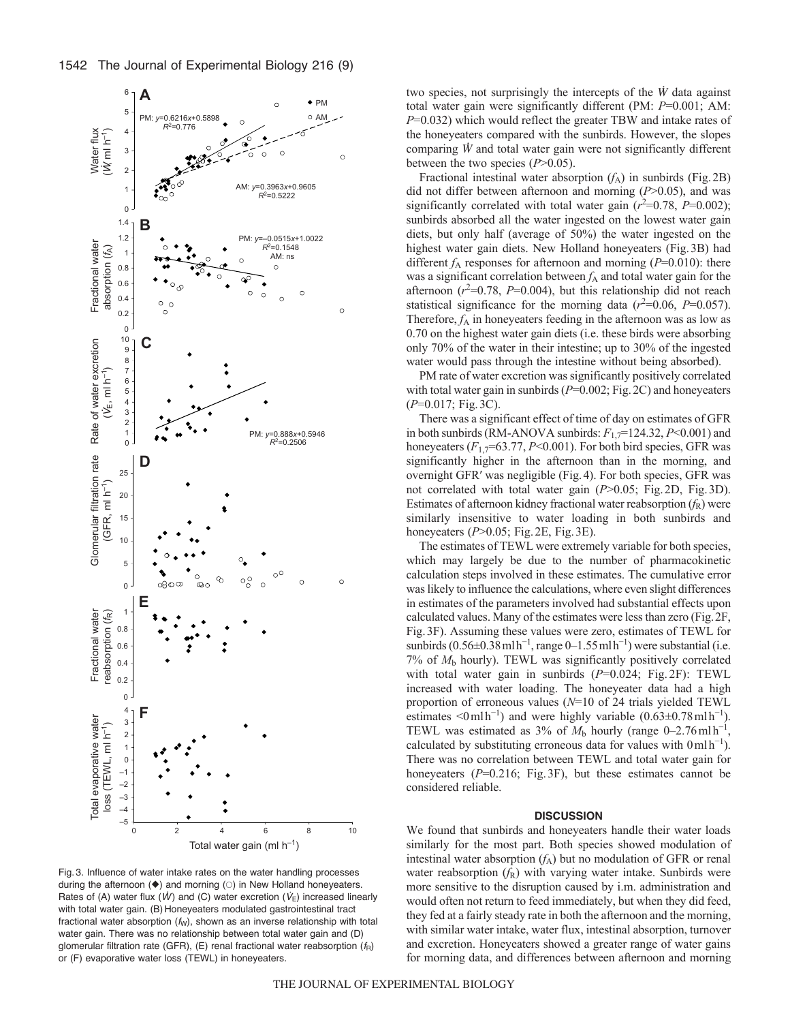

Fig. 3. Influence of water intake rates on the water handling processes during the afternoon  $(\blacklozenge)$  and morning  $(\circ)$  in New Holland honeyeaters. Rates of (A) water flux  $(W)$  and moming  $\circlearrowright$  in reaction  $(V_{\rm E})$  increased linearly with total water gain. (B) Honeyeaters modulated gastrointestinal tract fractional water absorption  $(f_W)$ , shown as an inverse relationship with total water gain. There was no relationship between total water gain and (D) glomerular filtration rate (GFR), (E) renal fractional water reabsorption  $(f_R)$ or (F) evaporative water loss (TEWL) in honeyeaters.

two species, not surprisingly the intercepts of the *W* data against total water gain were significantly different (PM: *P*=0.001; AM: *P*=0.032) which would reflect the greater TBW and intake rates of the honeyeaters compared with the sunbirds. However, the slopes comparing *W* and total water gain were not significantly different between the two species (*P*>0.05).

Fractional intestinal water absorption  $(f_A)$  in sunbirds (Fig. 2B) did not differ between afternoon and morning (*P*>0.05), and was significantly correlated with total water gain  $(r^2=0.78, P=0.002)$ ; sunbirds absorbed all the water ingested on the lowest water gain diets, but only half (average of 50%) the water ingested on the highest water gain diets. New Holland honeyeaters (Fig.3B) had different  $f_A$  responses for afternoon and morning ( $P=0.010$ ): there was a significant correlation between  $f_A$  and total water gain for the afternoon  $(r^2=0.78, P=0.004)$ , but this relationship did not reach statistical significance for the morning data  $(r^2=0.06, P=0.057)$ . Therefore,  $f_A$  in honeyeaters feeding in the afternoon was as low as 0.70 on the highest water gain diets (i.e. these birds were absorbing only 70% of the water in their intestine; up to 30% of the ingested water would pass through the intestine without being absorbed).

PM rate of water excretion was significantly positively correlated with total water gain in sunbirds ( $P=0.002$ ; Fig. 2C) and honeyeaters (*P*=0.017; Fig.3C).

There was a significant effect of time of day on estimates of GFR in both sunbirds (RM-ANOVA sunbirds:  $F_{1,7}$ =124.32,  $P$  < 0.001) and honeyeaters ( $F_{1,7}$ =63.77, *P*<0.001). For both bird species, GFR was significantly higher in the afternoon than in the morning, and overnight GFR′ was negligible (Fig.4). For both species, GFR was not correlated with total water gain (*P*>0.05; Fig.2D, Fig.3D). Estimates of afternoon kidney fractional water reabsorption  $(f_R)$  were similarly insensitive to water loading in both sunbirds and honeyeaters (*P*>0.05; Fig.2E, Fig.3E).

The estimates of TEWL were extremely variable for both species, which may largely be due to the number of pharmacokinetic calculation steps involved in these estimates. The cumulative error was likely to influence the calculations, where even slight differences in estimates of the parameters involved had substantial effects upon calculated values. Many of the estimates were less than zero (Fig.2F, Fig.3F). Assuming these values were zero, estimates of TEWL for sunbirds  $(0.56\pm0.38 \text{ m} \text{lh}^{-1}$ , range 0–1.55 mlh<sup>-1</sup>) were substantial (i.e. 7% of *M*<sup>b</sup> hourly). TEWL was significantly positively correlated with total water gain in sunbirds ( $P=0.024$ ; Fig. 2F): TEWL increased with water loading. The honeyeater data had a high proportion of erroneous values (*N*=10 of 24 trials yielded TEWL estimates <0 ml h<sup>-1</sup>) and were highly variable  $(0.63 \pm 0.78 \text{ m} \cdot \text{h}^{-1})$ . TEWL was estimated as 3% of  $M<sub>b</sub>$  hourly (range 0–2.76 mlh<sup>-1</sup>, calculated by substituting erroneous data for values with  $0 \text{mlh}^{-1}$ ). There was no correlation between TEWL and total water gain for honeyeaters (*P*=0.216; Fig. 3F), but these estimates cannot be considered reliable.

#### **DISCUSSION**

We found that sunbirds and honeyeaters handle their water loads similarly for the most part. Both species showed modulation of intestinal water absorption  $(f_A)$  but no modulation of GFR or renal water reabsorption  $(f_R)$  with varying water intake. Sunbirds were more sensitive to the disruption caused by i.m. administration and would often not return to feed immediately, but when they did feed, they fed at a fairly steady rate in both the afternoon and the morning, with similar water intake, water flux, intestinal absorption, turnover and excretion. Honeyeaters showed a greater range of water gains for morning data, and differences between afternoon and morning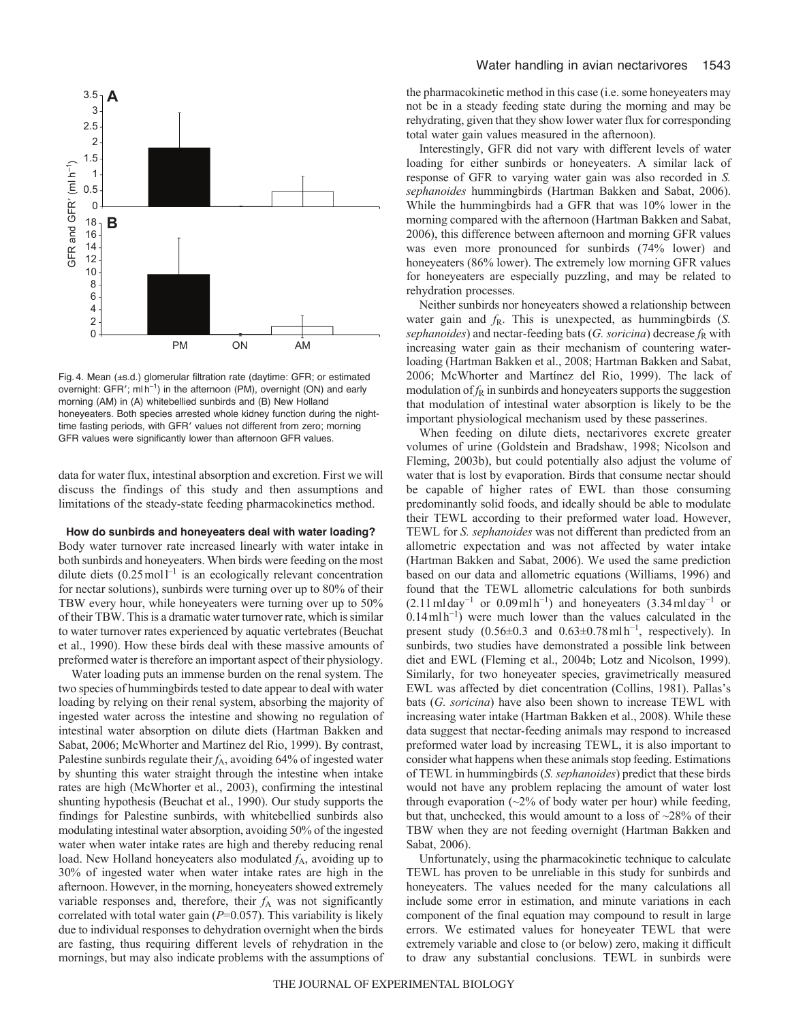

Fig. 4. Mean (±s.d.) glomerular filtration rate (daytime: GFR; or estimated overnight: GFR'; ml h<sup>-1</sup>) in the afternoon (PM), overnight (ON) and early morning (AM) in (A) whitebellied sunbirds and (B) New Holland honeyeaters. Both species arrested whole kidney function during the nighttime fasting periods, with GFR′ values not different from zero; morning GFR values were significantly lower than afternoon GFR values.

data for water flux, intestinal absorption and excretion. First we will discuss the findings of this study and then assumptions and limitations of the steady-state feeding pharmacokinetics method.

#### **How do sunbirds and honeyeaters deal with water loading?**

Body water turnover rate increased linearly with water intake in both sunbirds and honeyeaters. When birds were feeding on the most dilute diets  $(0.25 \text{ mol}^{-1})$  is an ecologically relevant concentration for nectar solutions), sunbirds were turning over up to 80% of their TBW every hour, while honeyeaters were turning over up to 50% of their TBW. This is a dramatic water turnover rate, which is similar to water turnover rates experienced by aquatic vertebrates (Beuchat et al., 1990). How these birds deal with these massive amounts of preformed water is therefore an important aspect of their physiology.

Water loading puts an immense burden on the renal system. The two species of hummingbirds tested to date appear to deal with water loading by relying on their renal system, absorbing the majority of ingested water across the intestine and showing no regulation of intestinal water absorption on dilute diets (Hartman Bakken and Sabat, 2006; McWhorter and Martínez del Rio, 1999). By contrast, Palestine sunbirds regulate their *f*<sub>A</sub>, avoiding 64% of ingested water by shunting this water straight through the intestine when intake rates are high (McWhorter et al., 2003), confirming the intestinal shunting hypothesis (Beuchat et al., 1990). Our study supports the findings for Palestine sunbirds, with whitebellied sunbirds also modulating intestinal water absorption, avoiding 50% of the ingested water when water intake rates are high and thereby reducing renal load. New Holland honeyeaters also modulated *f*A, avoiding up to 30% of ingested water when water intake rates are high in the afternoon. However, in the morning, honeyeaters showed extremely variable responses and, therefore, their  $f_A$  was not significantly correlated with total water gain (*P*=0.057). This variability is likely due to individual responses to dehydration overnight when the birds are fasting, thus requiring different levels of rehydration in the mornings, but may also indicate problems with the assumptions of the pharmacokinetic method in this case (i.e. some honeyeaters may not be in a steady feeding state during the morning and may be rehydrating, given that they show lower water flux for corresponding total water gain values measured in the afternoon).

Interestingly, GFR did not vary with different levels of water loading for either sunbirds or honeyeaters. A similar lack of response of GFR to varying water gain was also recorded in *S. sephanoides* hummingbirds (Hartman Bakken and Sabat, 2006). While the hummingbirds had a GFR that was 10% lower in the morning compared with the afternoon (Hartman Bakken and Sabat, 2006), this difference between afternoon and morning GFR values was even more pronounced for sunbirds (74% lower) and honeyeaters (86% lower). The extremely low morning GFR values for honeyeaters are especially puzzling, and may be related to rehydration processes.

Neither sunbirds nor honeyeaters showed a relationship between water gain and  $f_R$ . This is unexpected, as hummingbirds  $(S$ . *sephanoides*) and nectar-feeding bats (*G. soricina*) decrease  $f<sub>R</sub>$  with increasing water gain as their mechanism of countering waterloading (Hartman Bakken et al., 2008; Hartman Bakken and Sabat, 2006; McWhorter and Martínez del Rio, 1999). The lack of modulation of  $f_R$  in sunbirds and honeyeaters supports the suggestion that modulation of intestinal water absorption is likely to be the important physiological mechanism used by these passerines.

When feeding on dilute diets, nectarivores excrete greater volumes of urine (Goldstein and Bradshaw, 1998; Nicolson and Fleming, 2003b), but could potentially also adjust the volume of water that is lost by evaporation. Birds that consume nectar should be capable of higher rates of EWL than those consuming predominantly solid foods, and ideally should be able to modulate their TEWL according to their preformed water load. However, TEWL for *S. sephanoides* was not different than predicted from an allometric expectation and was not affected by water intake (Hartman Bakken and Sabat, 2006). We used the same prediction based on our data and allometric equations (Williams, 1996) and found that the TEWL allometric calculations for both sunbirds  $(2.11 \text{ m} \text{day}^{-1} \text{ or } 0.09 \text{ m} \text{lh}^{-1})$  and honeyeaters  $(3.34 \text{ m} \text{day}^{-1} \text{ or } 0.09 \text{ m} \text{lh}^{-1})$  $0.14$  mlh<sup>-1</sup>) were much lower than the values calculated in the present study  $(0.56 \pm 0.3$  and  $0.63 \pm 0.78$  mlh<sup>-1</sup>, respectively). In sunbirds, two studies have demonstrated a possible link between diet and EWL (Fleming et al., 2004b; Lotz and Nicolson, 1999). Similarly, for two honeyeater species, gravimetrically measured EWL was affected by diet concentration (Collins, 1981). Pallas's bats (*G. soricina*) have also been shown to increase TEWL with increasing water intake (Hartman Bakken et al., 2008). While these data suggest that nectar-feeding animals may respond to increased preformed water load by increasing TEWL, it is also important to consider what happens when these animals stop feeding. Estimations of TEWL in hummingbirds (*S. sephanoides*) predict that these birds would not have any problem replacing the amount of water lost through evaporation (~2% of body water per hour) while feeding, but that, unchecked, this would amount to a loss of ~28% of their TBW when they are not feeding overnight (Hartman Bakken and Sabat, 2006).

Unfortunately, using the pharmacokinetic technique to calculate TEWL has proven to be unreliable in this study for sunbirds and honeyeaters. The values needed for the many calculations all include some error in estimation, and minute variations in each component of the final equation may compound to result in large errors. We estimated values for honeyeater TEWL that were extremely variable and close to (or below) zero, making it difficult to draw any substantial conclusions. TEWL in sunbirds were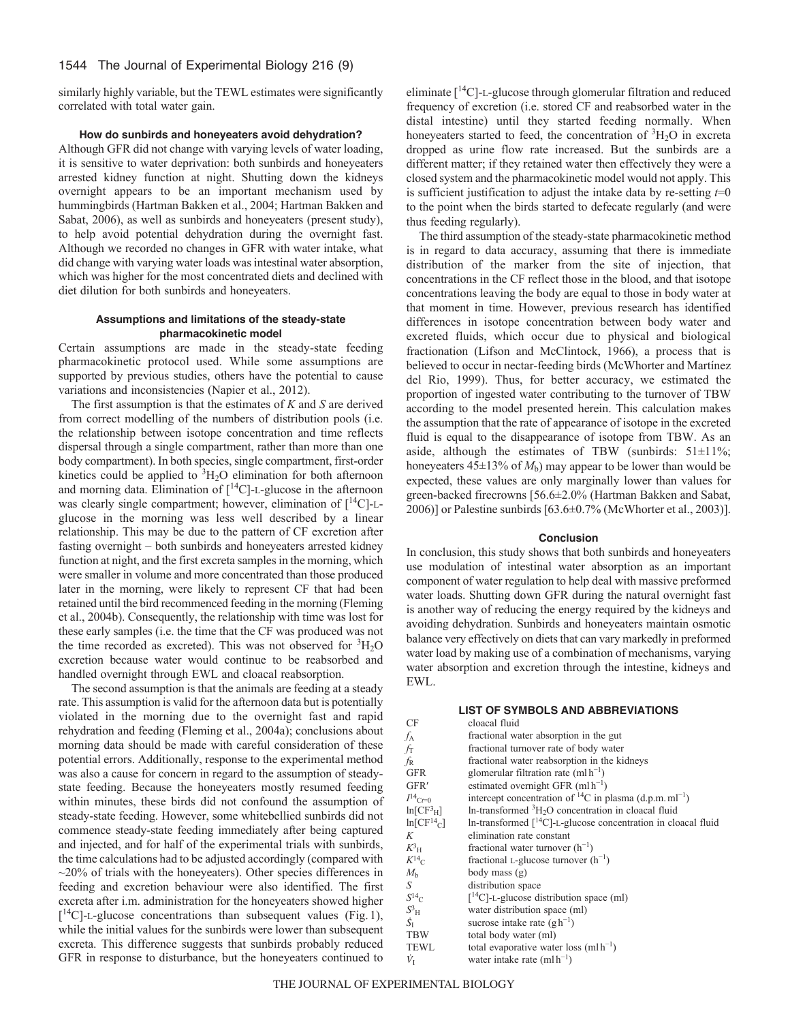similarly highly variable, but the TEWL estimates were significantly correlated with total water gain.

## **How do sunbirds and honeyeaters avoid dehydration?**

Although GFR did not change with varying levels of water loading, it is sensitive to water deprivation: both sunbirds and honeyeaters arrested kidney function at night. Shutting down the kidneys overnight appears to be an important mechanism used by hummingbirds (Hartman Bakken et al., 2004; Hartman Bakken and Sabat, 2006), as well as sunbirds and honeyeaters (present study), to help avoid potential dehydration during the overnight fast. Although we recorded no changes in GFR with water intake, what did change with varying water loads was intestinal water absorption, which was higher for the most concentrated diets and declined with diet dilution for both sunbirds and honeyeaters.

# **Assumptions and limitations of the steady-state pharmacokinetic model**

Certain assumptions are made in the steady-state feeding pharmacokinetic protocol used. While some assumptions are supported by previous studies, others have the potential to cause variations and inconsistencies (Napier et al., 2012).

The first assumption is that the estimates of *K* and *S* are derived from correct modelling of the numbers of distribution pools (i.e. the relationship between isotope concentration and time reflects dispersal through a single compartment, rather than more than one body compartment). In both species, single compartment, first-order kinetics could be applied to  ${}^{3}H_{2}O$  elimination for both afternoon and morning data. Elimination of  $\lceil {^{14}C} \rceil$ -L-glucose in the afternoon was clearly single compartment; however, elimination of [14C]-Lglucose in the morning was less well described by a linear relationship. This may be due to the pattern of CF excretion after fasting overnight – both sunbirds and honeyeaters arrested kidney function at night, and the first excreta samples in the morning, which were smaller in volume and more concentrated than those produced later in the morning, were likely to represent CF that had been retained until the bird recommenced feeding in the morning (Fleming et al., 2004b). Consequently, the relationship with time was lost for these early samples (i.e. the time that the CF was produced was not the time recorded as excreted). This was not observed for <sup>3</sup>H<sub>2</sub>O excretion because water would continue to be reabsorbed and handled overnight through EWL and cloacal reabsorption.

The second assumption is that the animals are feeding at a steady rate. This assumption is valid for the afternoon data but is potentially violated in the morning due to the overnight fast and rapid rehydration and feeding (Fleming et al., 2004a); conclusions about morning data should be made with careful consideration of these potential errors. Additionally, response to the experimental method was also a cause for concern in regard to the assumption of steadystate feeding. Because the honeyeaters mostly resumed feeding within minutes, these birds did not confound the assumption of steady-state feeding. However, some whitebellied sunbirds did not commence steady-state feeding immediately after being captured and injected, and for half of the experimental trials with sunbirds, the time calculations had to be adjusted accordingly (compared with  $\sim$ 20% of trials with the honeyeaters). Other species differences in feeding and excretion behaviour were also identified. The first excreta after i.m. administration for the honeyeaters showed higher  $[$ <sup>14</sup>C]-L-glucose concentrations than subsequent values (Fig. 1), while the initial values for the sunbirds were lower than subsequent excreta. This difference suggests that sunbirds probably reduced GFR in response to disturbance, but the honeyeaters continued to

eliminate  $[{}^{14}C]$ -L-glucose through glomerular filtration and reduced frequency of excretion (i.e. stored CF and reabsorbed water in the distal intestine) until they started feeding normally. When honeyeaters started to feed, the concentration of  ${}^{3}H_{2}O$  in excreta dropped as urine flow rate increased. But the sunbirds are a different matter; if they retained water then effectively they were a closed system and the pharmacokinetic model would not apply. This is sufficient justification to adjust the intake data by re-setting  $t=0$ to the point when the birds started to defecate regularly (and were thus feeding regularly).

The third assumption of the steady-state pharmacokinetic method is in regard to data accuracy, assuming that there is immediate distribution of the marker from the site of injection, that concentrations in the CF reflect those in the blood, and that isotope concentrations leaving the body are equal to those in body water at that moment in time. However, previous research has identified differences in isotope concentration between body water and excreted fluids, which occur due to physical and biological fractionation (Lifson and McClintock, 1966), a process that is believed to occur in nectar-feeding birds (McWhorter and Martínez del Rio, 1999). Thus, for better accuracy, we estimated the proportion of ingested water contributing to the turnover of TBW according to the model presented herein. This calculation makes the assumption that the rate of appearance of isotope in the excreted fluid is equal to the disappearance of isotope from TBW. As an aside, although the estimates of TBW (sunbirds:  $51\pm11\%$ ; honeyeaters  $45\pm13\%$  of  $M_b$ ) may appear to be lower than would be expected, these values are only marginally lower than values for green-backed firecrowns [56.6±2.0% (Hartman Bakken and Sabat, 2006)] or Palestine sunbirds [63.6±0.7% (McWhorter et al., 2003)].

#### **Conclusion**

In conclusion, this study shows that both sunbirds and honeyeaters use modulation of intestinal water absorption as an important component of water regulation to help deal with massive preformed water loads. Shutting down GFR during the natural overnight fast is another way of reducing the energy required by the kidneys and avoiding dehydration. Sunbirds and honeyeaters maintain osmotic balance very effectively on diets that can vary markedly in preformed water load by making use of a combination of mechanisms, varying water absorption and excretion through the intestine, kidneys and EWL.

## **LIST OF SYMBOLS AND ABBREVIATIONS**

| CF                                | cloacal fluid                                                                     |
|-----------------------------------|-----------------------------------------------------------------------------------|
| ſд                                | fractional water absorption in the gut                                            |
| $f_{\rm T}$                       | fractional turnover rate of body water                                            |
| fr                                | fractional water reabsorption in the kidneys                                      |
| <b>GFR</b>                        | glomerular filtration rate $(mlh^{-1})$                                           |
| GFR'                              | estimated overnight GFR $(mlh^{-1})$                                              |
| $I^{14}C_{t=0}$                   | intercept concentration of <sup>14</sup> C in plasma (d.p.m. ml <sup>-1</sup> )   |
| ln[CF <sup>3</sup> <sub>H</sub> ] | In-transformed ${}^{3}H_{2}O$ concentration in cloacal fluid                      |
| $ln[CF^{14}C]$                    | In-transformed $\lceil {^{14}C} \rceil$ -L-glucose concentration in cloacal fluid |
| K                                 | elimination rate constant                                                         |
| $K_{\rm H}$                       | fractional water turnover $(h^{-1})$                                              |
| $K^{14}C$                         | fractional L-glucose turnover $(h^{-1})$                                          |
| $M_{\rm b}$                       | body mass (g)                                                                     |
| S                                 | distribution space                                                                |
| $S^{14}C$                         | $[{}^{14}C]$ -L-glucose distribution space (ml)                                   |
| $S_{\rm H}$                       | water distribution space (ml)                                                     |
| $S_{\rm L}$                       | sucrose intake rate $(g h^{-1})$                                                  |
| <b>TBW</b>                        | total body water (ml)                                                             |
| <b>TEWL</b>                       | total evaporative water loss $(mlh^{-1})$                                         |
| Ŷ <sub>I</sub>                    | water intake rate $(mlh^{-1})$                                                    |